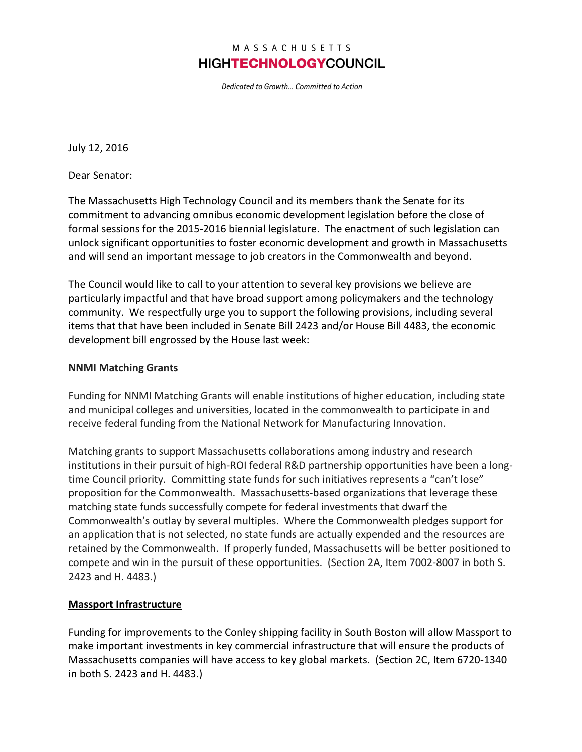## MASSACHUSETTS **HIGHTECHNOLOGYCOUNCIL**

Dedicated to Growth... Committed to Action

July 12, 2016

Dear Senator:

The Massachusetts High Technology Council and its members thank the Senate for its commitment to advancing omnibus economic development legislation before the close of formal sessions for the 2015-2016 biennial legislature. The enactment of such legislation can unlock significant opportunities to foster economic development and growth in Massachusetts and will send an important message to job creators in the Commonwealth and beyond.

The Council would like to call to your attention to several key provisions we believe are particularly impactful and that have broad support among policymakers and the technology community. We respectfully urge you to support the following provisions, including several items that that have been included in Senate Bill 2423 and/or House Bill 4483, the economic development bill engrossed by the House last week:

#### **NNMI Matching Grants**

Funding for NNMI Matching Grants will enable institutions of higher education, including state and municipal colleges and universities, located in the commonwealth to participate in and receive federal funding from the National Network for Manufacturing Innovation.

Matching grants to support Massachusetts collaborations among industry and research institutions in their pursuit of high-ROI federal R&D partnership opportunities have been a longtime Council priority. Committing state funds for such initiatives represents a "can't lose" proposition for the Commonwealth. Massachusetts-based organizations that leverage these matching state funds successfully compete for federal investments that dwarf the Commonwealth's outlay by several multiples. Where the Commonwealth pledges support for an application that is not selected, no state funds are actually expended and the resources are retained by the Commonwealth. If properly funded, Massachusetts will be better positioned to compete and win in the pursuit of these opportunities. (Section 2A, Item 7002-8007 in both S. 2423 and H. 4483.)

#### **Massport Infrastructure**

Funding for improvements to the Conley shipping facility in South Boston will allow Massport to make important investments in key commercial infrastructure that will ensure the products of Massachusetts companies will have access to key global markets. (Section 2C, Item 6720-1340 in both S. 2423 and H. 4483.)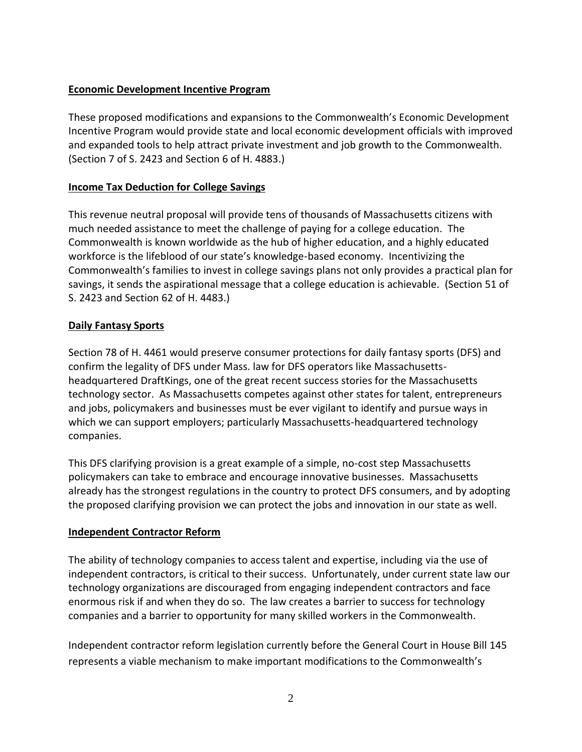### **Economic Development Incentive Program**

These proposed modifications and expansions to the Commonwealth's Economic Development Incentive Program would provide state and local economic development officials with improved and expanded tools to help attract private investment and job growth to the Commonwealth. (Section 7 of S. 2423 and Section 6 of H. 4883.)

## **Income Tax Deduction for College Savings**

This revenue neutral proposal will provide tens of thousands of Massachusetts citizens with much needed assistance to meet the challenge of paying for a college education. The Commonwealth is known worldwide as the hub of higher education, and a highly educated workforce is the lifeblood of our state's knowledge-based economy. Incentivizing the Commonwealth's families to invest in college savings plans not only provides a practical plan for savings, it sends the aspirational message that a college education is achievable. (Section 51 of S. 2423 and Section 62 of H. 4483.)

### **Daily Fantasy Sports**

Section 78 of H. 4461 would preserve consumer protections for daily fantasy sports (DFS) and confirm the legality of DFS under Mass. law for DFS operators like Massachusettsheadquartered DraftKings, one of the great recent success stories for the Massachusetts technology sector. As Massachusetts competes against other states for talent, entrepreneurs and jobs, policymakers and businesses must be ever vigilant to identify and pursue ways in which we can support employers; particularly Massachusetts-headquartered technology companies.

This DFS clarifying provision is a great example of a simple, no-cost step Massachusetts policymakers can take to embrace and encourage innovative businesses. Massachusetts already has the strongest regulations in the country to protect DFS consumers, and by adopting the proposed clarifying provision we can protect the jobs and innovation in our state as well.

# **Independent Contractor Reform**

The ability of technology companies to access talent and expertise, including via the use of independent contractors, is critical to their success. Unfortunately, under current state law our technology organizations are discouraged from engaging independent contractors and face enormous risk if and when they do so. The law creates a barrier to success for technology companies and a barrier to opportunity for many skilled workers in the Commonwealth.

Independent contractor reform legislation currently before the General Court in House Bill 145 represents a viable mechanism to make important modifications to the Commonwealth's